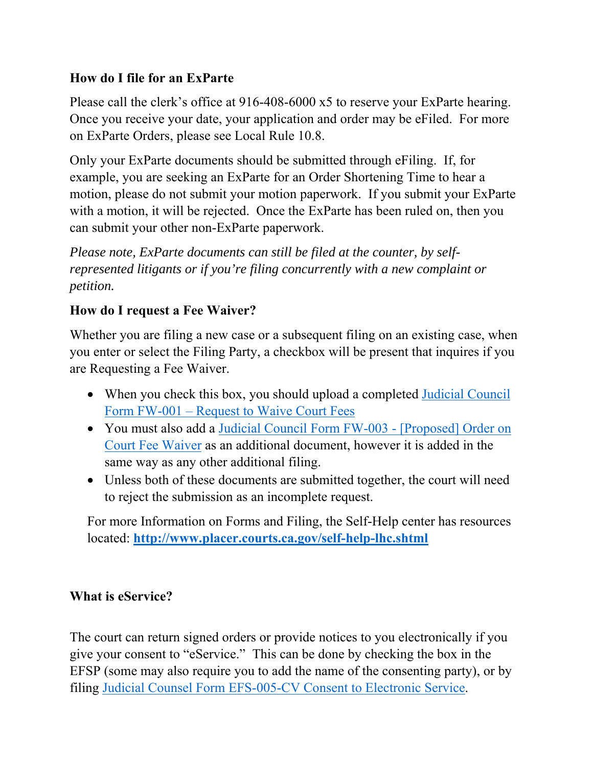# **How do I file for an ExParte**

Please call the clerk's office at 916-408-6000 x5 to reserve your ExParte hearing. Once you receive your date, your application and order may be eFiled. For more on ExParte Orders, please see Local Rule 10.8.

Only your ExParte documents should be submitted through eFiling. If, for example, you are seeking an ExParte for an Order Shortening Time to hear a motion, please do not submit your motion paperwork. If you submit your ExParte with a motion, it will be rejected. Once the ExParte has been ruled on, then you can submit your other non-ExParte paperwork.

*Please note, ExParte documents can still be filed at the counter, by selfrepresented litigants or if you're filing concurrently with a new complaint or petition.* 

# **How do I request a Fee Waiver?**

Whether you are filing a new case or a subsequent filing on an existing case, when you enter or select the Filing Party, a checkbox will be present that inquires if you are Requesting a Fee Waiver.

- When you check this box, you should upload a completed Judicial Council Form FW-001 – Request to Waive Court Fees
- You must also add a Judicial Council Form FW-003 [Proposed] Order on Court Fee Waiver as an additional document, however it is added in the same way as any other additional filing.
- Unless both of these documents are submitted together, the court will need to reject the submission as an incomplete request.

For more Information on Forms and Filing, the Self-Help center has resources located: **http://www.placer.courts.ca.gov/self-help-lhc.shtml** 

#### **What is eService?**

The court can return signed orders or provide notices to you electronically if you give your consent to "eService." This can be done by checking the box in the EFSP (some may also require you to add the name of the consenting party), or by filing Judicial Counsel Form EFS-005-CV Consent to Electronic Service.